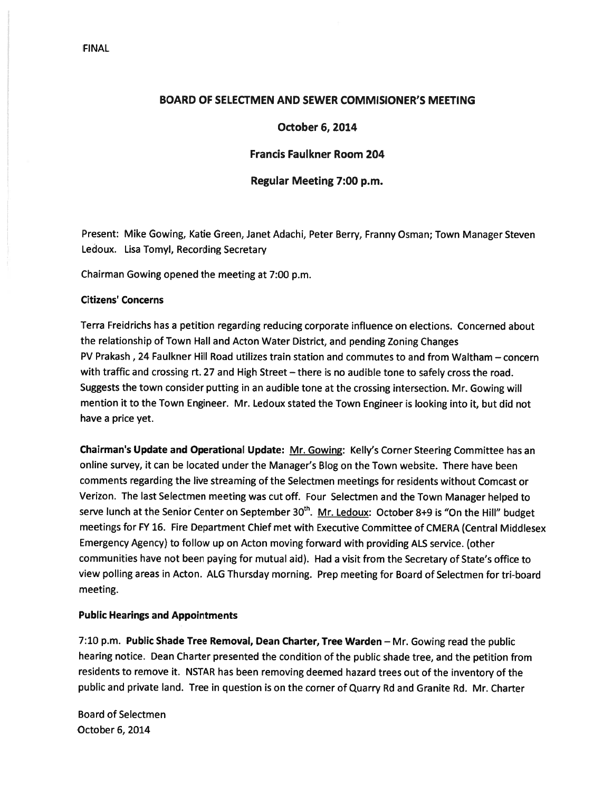### BOARD OF SELECTMEN AND SEWER COMMISIONER'S MEETING

#### October 6, 2014

#### Francis Faulkner Room 204

#### Regular Meeting 7:00 p.m.

Present: Mike Gowing, Katie Green, Janet Adachi, Peter Berry, Franny Osman; Town Manager Steven Ledoux. Lisa Tomyl, Recording Secretary

Chairman Gowing opened the meeting at 7:00 p.m.

#### Citizens' Concerns

Terra Freidrichs has <sup>a</sup> petition regarding reducing corporate influence on elections. Concerned about the relationship of Town Hall and Acton Water District, and pending Zoning Changes PV Prakash, 24 Faulkner Hill Road utilizes train station and commutes to and from Waltham — concern with traffic and crossing rt. <sup>27</sup> and High Street — there is no audible tone to safely cross the road. Suggests the town consider putting in an audible tone at the crossing intersection. Mr. Gowing will mention it to the Town Engineer. Mr. Ledoux stated the Town Engineer is looking into it, but did not have <sup>a</sup> price yet.

Chairman's Update and Operational Update: Mr. Gowing: Kelly's Corner Steering Committee has an online survey, it can be located under the Manager's Blog on the Town website. There have been comments regarding the live streaming of the Selectmen meetings for residents without Comcast or Verizon. The last Selectmen meeting was cut off. Four Selectmen and the Town Manager helped to serve lunch at the Senior Center on September 30<sup>th</sup>. Mr. Ledoux: October 8+9 is "On the Hill" budget meetings for FY 16. Fire Department Chief met with Executive Committee of CMERA (Central Middlesex Emergency Agency) to follow up on Acton moving forward with providing ALS service. (other communities have not been paying for mutual aid). Had <sup>a</sup> visit from the Secretary of State's office to view polling areas in Acton. ALG Thursday morning. Prep meeting for Board of Selectmen for tri-board meeting.

# Public Hearings and Appointments

7:10 p.m. Public Shade Tree Removal, Dean Charter, Tree Warden — Mr. Gowing read the public hearing notice. Dean Charter presented the condition of the public shade tree, and the petition from residents to remove it. NSTAR has been removing deemed hazard trees out of the inventory of the public and private land. Tree in question is on the corner of Quarry Rd and Granite Rd. Mr. Charter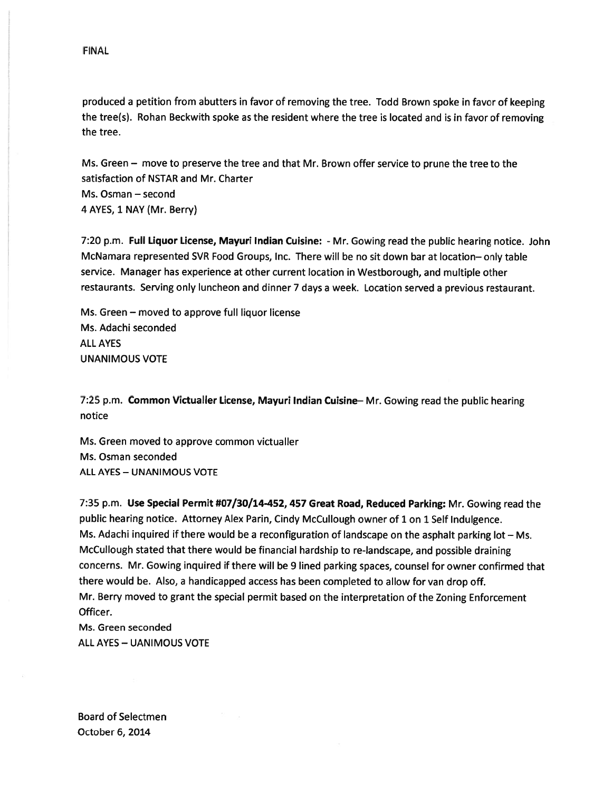produced <sup>a</sup> petition from abutters in favor of removing the tree. Todd Brown spoke in favor of keeping the tree(s). Rohan Beckwith spoke as the resident where the tree is located and is in favor of removing the tree.

Ms. Green — move to preserve the tree and that Mr. Brown offer service to prune the tree to the satisfaction of NSTAR and Mr. Charter Ms. Osman — second

4 AYES, 1 NAY (Mr. Berry)

7:20 p.m. Full Liquor License, Mayuri Indian Cuisine: - Mr. Gowing read the public hearing notice. John McNamara represented SVR Food Groups, Inc. There will be no sit down bar at location— only table service. Manager has experience at other current location in Westborough, and multiple other restaurants. Serving only luncheon and dinner <sup>7</sup> days <sup>a</sup> week. Location served <sup>a</sup> previous restaurant.

Ms. Green — moved to approve full liquor license Ms. Adachi seconded ALL AYES UNANIMOUS VOTE

7:25 p.m. Common Victualler License, Mayuri Indian Cuisine-Mr. Gowing read the public hearing notice

Ms. Green moved to approve common victualler Ms. Osman seconded ALL AYES — UNANIMOUS VOTE

7:35 p.m. Use Special Permit #07/30/14-452, 457 Great Road, Reduced Parking: Mr. Gowing read the public hearing notice. Attorney Alex Parin, Cindy McCullough owner of <sup>1</sup> on <sup>1</sup> Self Indulgence. Ms. Adachi inquired if there would be <sup>a</sup> reconfiguration of landscape on the asphalt parking lot — Ms. McCullough stated that there would be financial hardship to re-landscape, and possible draining concerns. Mr. Gowing inquired if there will be 9 lined parking spaces, counsel for owner confirmed that there would be. Also, <sup>a</sup> handicapped access has been completed to allow for van drop off. Mr. Berry moved to gran<sup>t</sup> the special permit based on the interpretation of the Zoning Enforcement Officer.

Ms. Green seconded ALL AYES — UANIMOUS VOTE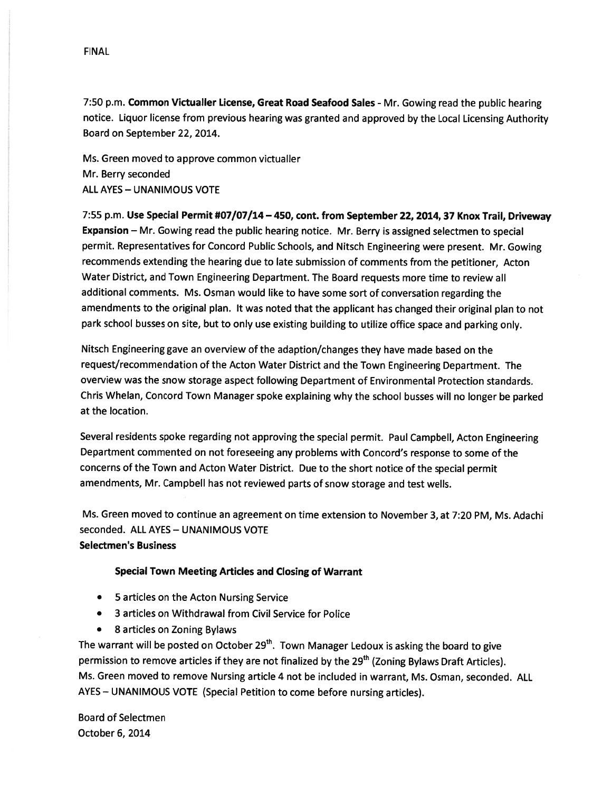7:50 p.m. Common Victualler License, Great Road Seafood Sales - Mr. Gowing read the public hearing notice. Liquor license from previous hearing was granted and approve<sup>d</sup> by the Local Licensing Authority Board on September 22, 2014.

Ms. Green moved to approve common victualler Mr. Berry seconded ALL AYES — UNANIMOUS VOTE

7:55 p.m. Use Special Permit #07/07/14 — 450, cont. from September 22, 2014, <sup>37</sup> Knox Trail, Driveway Expansion — Mr. Gowing read the public hearing notice. Mr. Berry is assigned selectmen to special permit. Representatives for Concord Public Schools, and Nitsch Engineering were present. Mr. Gowing recommends extending the hearing due to late submission of comments from the petitioner, Acton Water District, and Town Engineering Department. The Board requests more time to review all additional comments. Ms. Osman would like to have some sort of conversation regarding the amendments to the original <sup>p</sup>lan. It was noted that the applicant has changed their original <sup>p</sup>lan to not par<sup>k</sup> school busses on site, but to only use existing building to utilize office space and parking only.

Nitsch Engineering gave an overview of the adaption/changes they have made based on the request/recommendation of the Acton Water District and the Town Engineering Department. The overview was the snow storage aspec<sup>t</sup> following Department of Environmental Protection standards. Chris Whelan, Concord Town Manager spoke explaining why the school busses will no longer be parked at the location.

Several residents spoke regarding not approving the special permit. Paul Campbell, Acton Engineering Department commented on not foreseeing any problems with Concord's response to some of the concerns of the Town and Acton Water District. Due to the short notice of the special permit amendments, Mr. Campbell has not reviewed parts of snow storage and test wells.

Ms. Green moved to continue an agreemen<sup>t</sup> on time extension to November 3, at 7:20 PM, Ms. Adachi seconded. ALL AYES — UNANIMOUS VOTE Selectmen's Business

#### Special Town Meeting Articles and Closing of Warrant

- 5 articles on the Acton Nursing Service
- •3 articles on Withdrawal from Civil Service for Police
- 8 articles on Zoning Bylaws

The warrant will be posted on October 29<sup>th</sup>. Town Manager Ledoux is asking the board to give permission to remove articles if they are not finalized by the 29<sup>th</sup> (Zoning Bylaws Draft Articles). Ms. Green moved to remove Nursing article 4 not be included in warrant, Ms. Osman, seconded. ALL AYES — UNANIMOUS VOTE (Special Petition to come before nursing articles).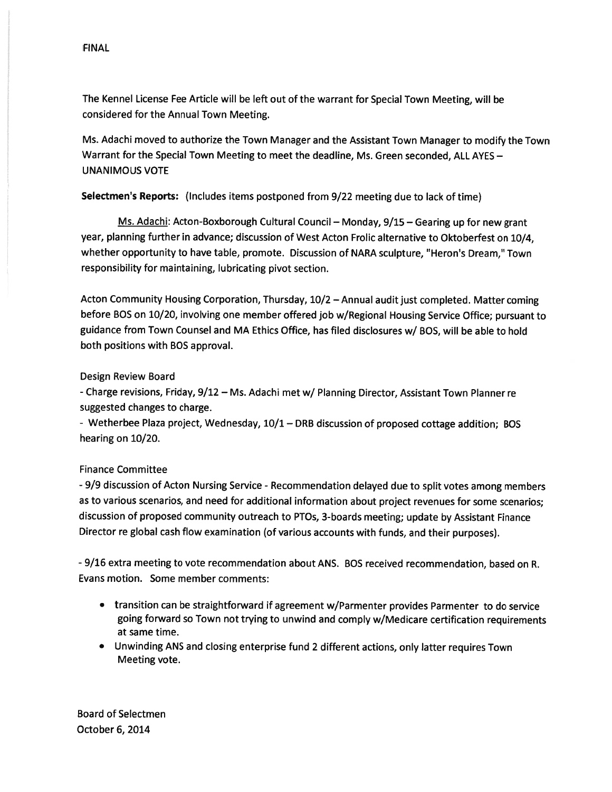The Kennel License Fee Article will be left out of the warrant for Special Town Meeting, will be considered for the Annual Town Meeting.

Ms. Adachi moved to authorize the Town Manager and the Assistant Town Manager to modify the Town Warrant for the Special Town Meeting to meet the deadline, Ms. Green seconded, ALL AYES — UNANIMOUS VOTE

Selectmen's Reports: (Includes items postponed from 9/22 meeting due to lack of time)

Ms. Adachi: Acton-Boxborough Cultural Council — Monday, 9/15 — Gearing up for new gran<sup>t</sup> year, planning further in advance; discussion of West Acton Frolic alternative to Oktoberfest on 10/4, whether opportunity to have table, promote. Discussion of NARA sculpture, 'Heron's Dream," Town responsibility for maintaining, lubricating pivot section.

Acton Community Housing Corporation, Thursday, 10/2 —Annual audit just completed. Matter coming before BOS on 10/20, involving one member offered job w/Regional Housing Service Office; pursuan<sup>t</sup> to guidance from Town Counsel and MA Ethics Office, has filed disclosures w/ BOS, will be able to hold both positions with BOS approval.

### Design Review Board

-Charge revisions, Friday, 9/12 — Ms. Adachi met w/ Planning Director, Assistant Town Planner re suggested changes to charge.

- Wetherbee Plaza project, Wednesday, 10/1 — DRB discussion of propose<sup>d</sup> cottage addition; BOS hearing on 10/20.

# Finance Committee

- 9/9 discussion of Acton Nursing Service - Recommendation delayed due to split votes among members as to various scenarios, and need for additional information about project revenues for some scenarios; discussion of propose<sup>d</sup> community outreach to PTOs, 3-boards meeting; update by Assistant Finance Director re <sup>g</sup>lobal cash flow examination (of various accounts with funds, and their purposes).

- 9/16 extra meeting to vote recommendation about ANS. BOS received recommendation, based on R. Evans motion. Some member comments:

- transition can be straightforward if agreemen<sup>t</sup> w/Parmenter provides Parmenter to do service going forward so Town not trying to unwind and comply w/Medicare certification requirements at same time.
- Unwinding ANS and closing enterprise fund <sup>2</sup> different actions, only latter requires Town Meeting vote.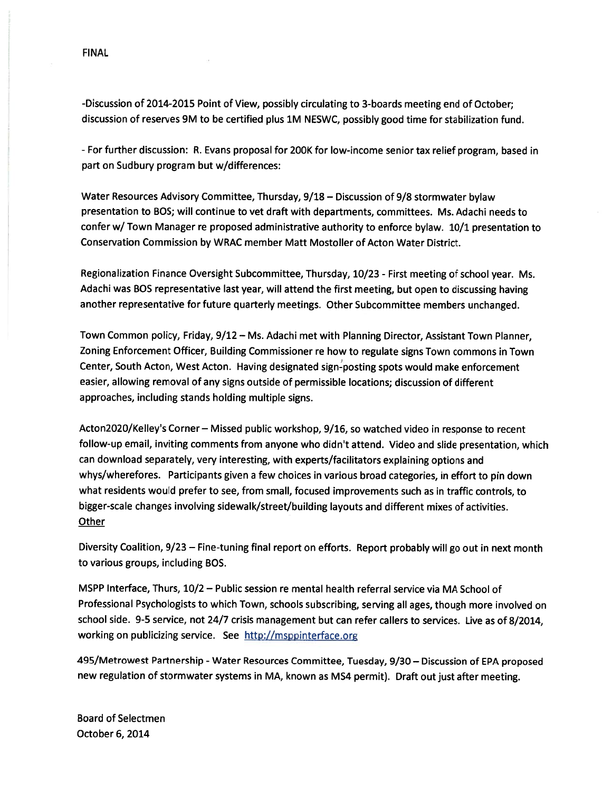-Discussion of 2014-2015 Point of View, possibly circulating to 3-boards meeting end of October; discussion of reserves 9M to be certified <sup>p</sup>lus 1M NESWC, possibly good time for stabilization fund.

- For further discussion: R. Evans proposa<sup>l</sup> for 200K for low-income senior tax relief program, based in par<sup>t</sup> on Sudbury program but w/differences:

Water Resources Advisory Committee, Thursday, 9/18 — Discussion of 9/8 stormwater bylaw presentation to BOS; will continue to vet draft with departments, committees. Ms. Adachi needs to confer w/ Town Manager re propose<sup>d</sup> administrative authority to enforce bylaw. 10/1 presentation to Conservation Commission by WRAC member Matt Mostoller of Acton Water District.

Regionalization Finance Oversight Subcommittee, Thursday, 10/23 - First meeting of school year. Ms. Adachi was BOS representative last year, will attend the first meeting, but open to discussing having another representative for future quarterly meetings. Other Subcommittee members unchanged.

Town Common policy, Friday, 9/12 — Ms. Adachi met with Planning Director, Assistant Town Planner, Zoning Enforcement Officer, Building Commissioner re how to regulate signs Town commons in Town Center, South Acton, West Acton. Having designated sign-posting spots would make enforcement easier, allowing removal of any signs outside of permissible locations; discussion of different approaches, including stands holding multiple signs.

Acton2O2O/KelIey's Corner — Missed public workshop, 9/16, so watched video in response to recent follow-up email, inviting comments from anyone who didn't attend. Video and slide presentation, which can download separately, very interesting, with experts/facilitators explaining options and whys/wherefores. Participants <sup>g</sup>iven <sup>a</sup> few choices in various broad categories, in effort to <sup>p</sup>in down what residents would prefer to see, from small, focused improvements such as in traffic controls, to bigger-scale changes involving sidewalk/street/building layouts and different mixes of activities. **Other** 

Diversity Coalition, 9/23 — Fine-tuning final repor<sup>t</sup> on efforts. Report probably will go out in next month to various groups, including BOS.

MSPP Interface, Thurs, 10/2 — Public session re mental health referral service via MA School of Professional Psychologists to which Town, schools subscribing, serving all ages, though more involved on school side. 9-5 service, not 24/7 crisis managemen<sup>t</sup> but can refer callers to services. Live as of 8/2014, working on publicizing service. See http://msppinterface.org

495/Metrowest Partnership -Water Resources Committee, Tuesday, 9/30 — Discussion of EPA propose<sup>d</sup> new regulation of stormwater systems in MA, known as MS4 permit). Draft out just after meeting.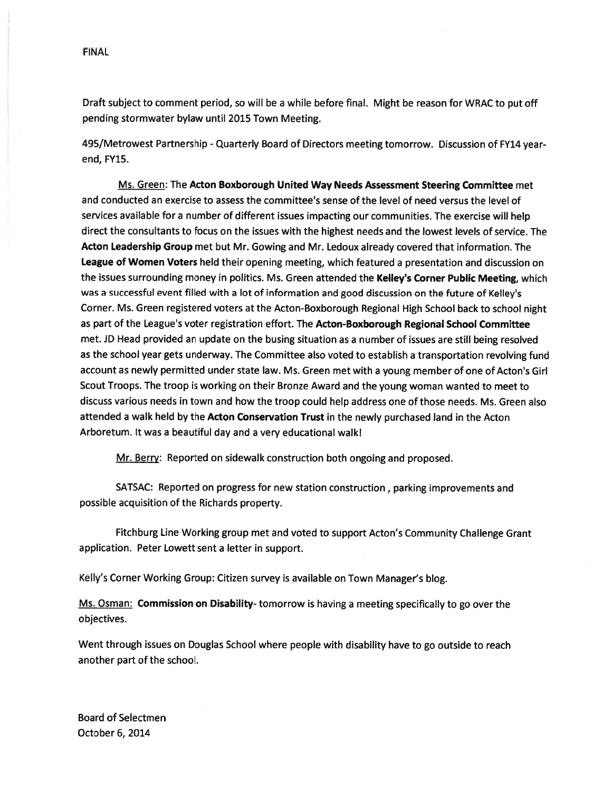Draft subject to comment period, so will be <sup>a</sup> while before final. Might be reason for WRAC to pu<sup>t</sup> off pending stormwater bylaw until 2015 Town Meeting.

495/Metrowest Partnership -Quarterly Board of Directors meeting tomorrow. Discussion of FY14 yearend, FY15.

Ms. Green: The Acton Boxborough United Way Needs Assessment Steering Committee met and conducted an exercise to assess the committee's sense of the level of need versus the level of services available for <sup>a</sup> number of different issues impacting our communities. The exercise will help direct the consultants to focus on the issues with the highest needs and the lowest levels of service. The Acton Leadership Group met but Mr. Gowing and Mr. Ledoux already covered that information. The League of Women Voters held their opening meeting, which featured a presentation and discussion on the issues surrounding money in politics. Ms. Green attended the Kelley's Corner Public Meeting, which was <sup>a</sup> successful event filled with <sup>a</sup> lot of information and good discussion on the future of Kelley's Corner. Ms. Green registered voters at the Acton-Boxborough Regional High School back to school night as par<sup>t</sup> of the League's voter registration effort. The Acton-Boxborough Regional School Committee met. JD Head provided an update on the busing situation as <sup>a</sup> number of issues are still being resolved as the school year gets underway. The Committee also voted to establish <sup>a</sup> transportation revolving fund account as newly permitted under state law. Ms. Green met with <sup>a</sup> young member of one of Acton's Girl Scout Troops. The troop is working on their Bronze Award and the young woman wanted to meet to discuss various needs in town and how the troop could help address one of those needs. Ms. Green also attended a walk held by the Acton Conservation Trust in the newly purchased land in the Acton Arboretum. It was <sup>a</sup> beautiful day and <sup>a</sup> very educational walk!

Mr. Berry: Reported on sidewalk construction both ongoing and proposed.

SATSAC: Reported on progress for new station construction, parking improvements and possible acquisition of the Richards property.

Fitchburg Line Working group met and voted to suppor<sup>t</sup> Acton's Community Challenge Grant application. Peter Lowett sent <sup>a</sup> letter in support.

Kelly's Corner Working Group: Citizen survey is available on Town Manager's blog.

Ms. Osman: Commission on Disability-tomorrow is having a meeting specifically to go over the objectives.

Went through issues on Douglas School where people with disability have to go outside to reach another par<sup>t</sup> of the school.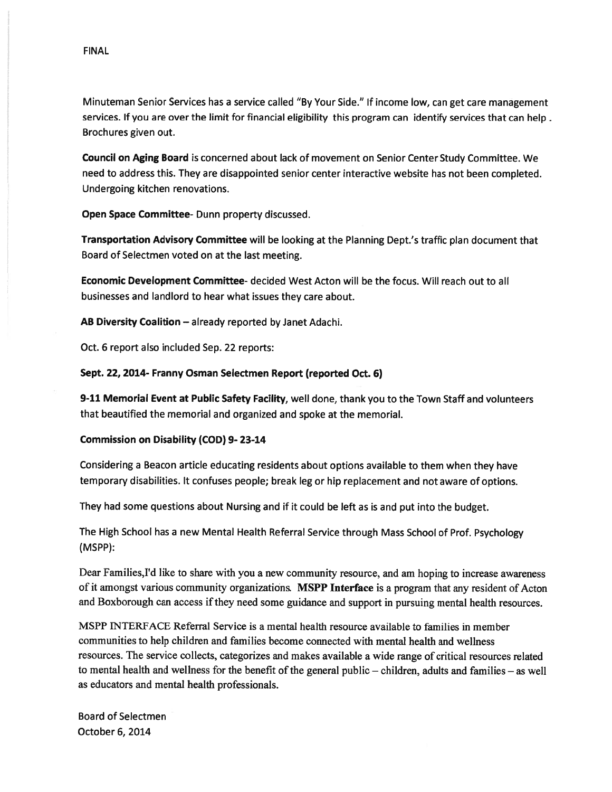Council on Aging Board is concerned about lack of movement on Senior Center Study Committee. We need to address this. They are disappointed senior center interactive website has not been completed. Undergoing kitchen renovations.

Open Space Committee- Dunn property discussed.

Transportation Advisory Committee will be looking at the Planning Dept.'s traffic <sup>p</sup>lan document that Board of Selectmen voted on at the last meeting.

Economic Development Committee- decided West Acton will be the focus. Will reach out to all businesses and landlord to hear what issues they care about.

AB Diversity Coalition — already reported by Janet Adachi.

Oct. 6 repor<sup>t</sup> also included Sep. 22 reports:

# Sept. 22, 2014- Franny Osman Selectmen Report (reported Oct. 6)

9-11 Memorial Event at Public Safety Facility, well done, thank you to the Town Staff and volunteers that beautified the memorial and organized and spoke at the memorial.

# Commission on Disability (COD) 9-23-14

Considering <sup>a</sup> Beacon article educating residents about options available to them when they have temporary disabilities. It confuses people; break leg or hip replacement and not aware of options.

They had some questions about Nursing and if it could be left as is and pu<sup>t</sup> into the budget.

The High School has <sup>a</sup> new Mental Health Referral Service through Mass School of Prof. Psychology (MSPP):

Dear Families, I'd like to share with you a new community resource, and am hoping to increase awareness of it amongst various community organizations. MSPP Interface is a program that any resident of Acton and Boxborough can access ifthey need some guidance and suppor<sup>t</sup> in pursuing mental health resources.

MSPP INTERFACE Referral Service is <sup>a</sup> mental health resource available to families in member communities to help children and families become connected with mental health and weilness resources. The service collects, categorizes and makes available <sup>a</sup> wide range of critical resources related to mental health and wellness for the benefit of the general public  $-$  children, adults and families  $-$  as well as educators and mental health professionals.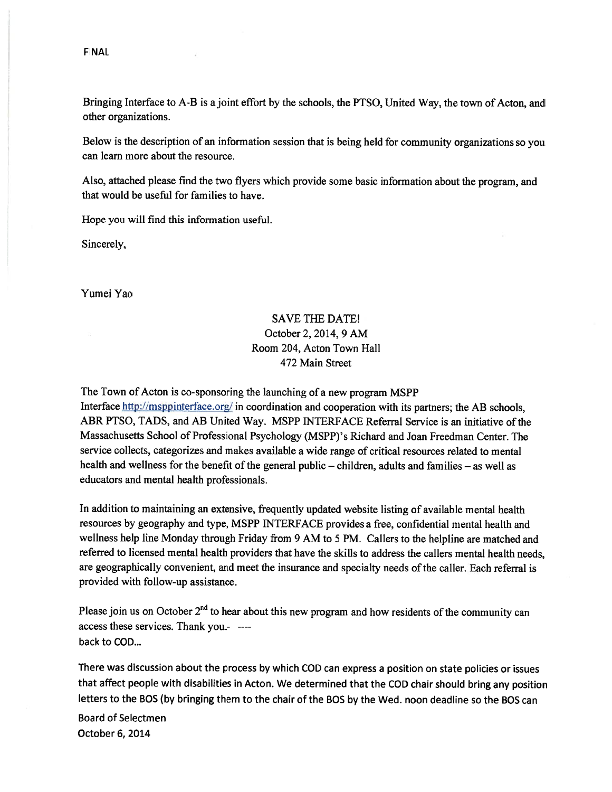Bringing Interface to A-B is ajoint effort by the schools, the PTSO, United Way, the town of Acton, and other organizations.

Below is the description of an information session that is being held for community organizations so you can learn more about the resource.

Also, attached <sup>p</sup>lease find the two flyers which provide some basic information about the program, and that would be useful for families to have.

Hope you will find this information useful.

Sincerely,

Yumei Yao

# SAVE THE DATE! October 2, 2014, 9 AM Room 204, Acton Town Hall 472 Main Street

The Town of Acton is co-sponsoring the launching of <sup>a</sup> new program MSPP

Interface http://msppinterface.org/ in coordination and cooperation with its partners; the AB schools, ABR PTSO, TADS, and AB United Way. MSPP INTERFACE Referral Service is an initiative of the Massachusetts School of Professional Psychology (MSPP)'s Richard and Joan Freedman Center. The service collects, categorizes and makes available <sup>a</sup> wide range of critical resources related to mental health and wellness for the benefit of the general public – children, adults and families – as well as educators and mental health professionals.

In addition to maintaining an extensive, frequently updated website listing of available mental health resources by geography and type, MSPP iNTERFACE provides <sup>a</sup> free, confidential mental health and wellness help line Monday through Friday from <sup>9</sup> AM to <sup>5</sup> PM. Callers to the helpline are matched and referred to licensed mental health providers that have the skills to address the callers mental health needs, are geographically convenient, and meet the insurance and specialty needs of the caller. Each referral is provided with follow-up assistance.

Please join us on October  $2<sup>nd</sup>$  to hear about this new program and how residents of the community can access these services. Thank you. back to COD...

There was discussion about the process by which COD can express <sup>a</sup> position on state policies or issues that affect people with disabilities in Acton. We determined that the COD chair should bring any position letters to the BOS (by bringing them to the chair of the BOS by the Wed. noon deadline so the BOS can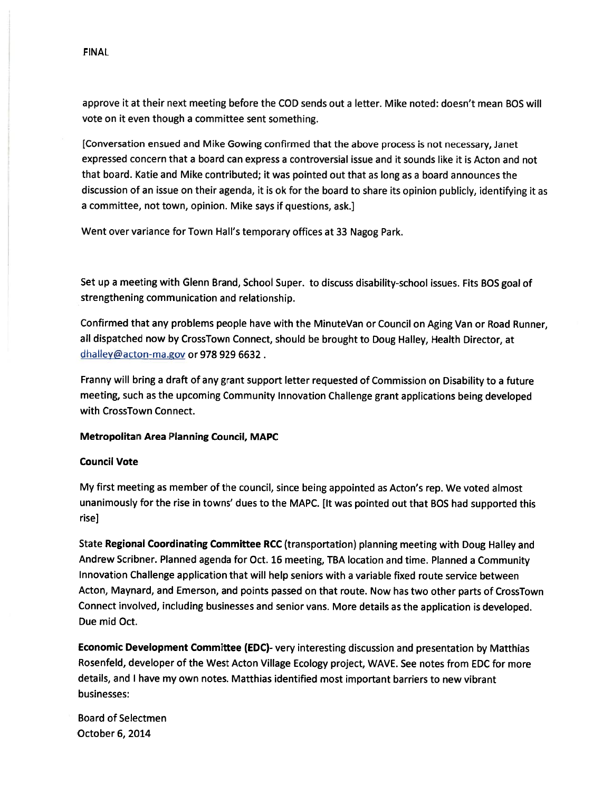approve it at their next meeting before the COD sends out <sup>a</sup> letter. Mike noted: doesn't mean BOS will vote on it even though <sup>a</sup> committee sent something.

[Conversation ensued and Mike Gowing confirmed that the above process is not necessary, Janet expressed concern that <sup>a</sup> board can express <sup>a</sup> controversial issue and it sounds like it is Acton and not that board. Katie and Mike contributed; it was pointed out that as long as <sup>a</sup> board announces the discussion of an issue on their agenda, it is ok for the board to share its opinion publicly, identifying it as <sup>a</sup> committee, not town, opinion. Mike says if questions, ask.]

Went over variance for Town Hall's temporary offices at 33 Nagog Park.

Set up <sup>a</sup> meeting with Glenn Brand, School Super. to discuss disability-school issues. Fits BOS goa<sup>l</sup> of strengthening communication and relationship.

Confirmed that any problems people have with the MinuteVan or Council on Aging Van or Road Runner, all dispatched now by CrossTown Connect, should be brought to Doug Halley, Health Director, at dhalley@acton-ma.gov or 978 929 6632.

Franny will bring <sup>a</sup> draft of any gran<sup>t</sup> suppor<sup>t</sup> letter requested of Commission on Disability to <sup>a</sup> future meeting, such as the upcoming Community Innovation Challenge gran<sup>t</sup> applications being developed with CrossTown Connect.

# Metropolitan Area Planning Council, MAPC

# Council Vote

My first meeting as member of the council, since being appointed as Acton's rep. We voted almost unanimously for the rise in towns' dues to the MAPC. [It was pointed out that BOS had supported this rise]

State Regional Coordinating Committee RCC (transportation) <sup>p</sup>lanning meeting with Doug Halley and Andrew Scribner. Planned agenda for Oct. <sup>16</sup> meeting, TBA location and time. Planned <sup>a</sup> Community Innovation Challenge application that will help seniors with <sup>a</sup> variable fixed route service between Acton, Maynard, and Emerson, and points passe<sup>d</sup> on that route. Now has two other parts of CrossTown Connect involved, including businesses and senior vans. More details as the application is developed. Due mid Oct.

Economic Development Committee (EDC)- very interesting discussion and presentation by Matthias Rosenfeld, developer of the West Acton Village Ecology project, WAVE. See notes from EDC for more details, and <sup>I</sup> have my own notes. Matthias identified most important barriers to new vibrant businesses: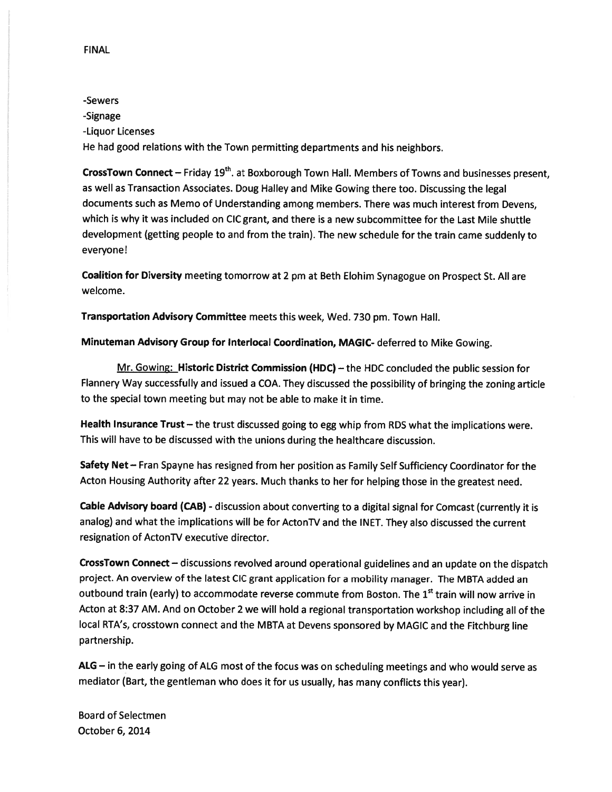# -Sewers -Signage -Liquor Licenses He had good relations with the Town permitting departments and his neighbors.

CrossTown Connect - Friday 19<sup>th</sup>. at Boxborough Town Hall. Members of Towns and businesses present, as well as Transaction Associates. Doug Halley and Mike Gowing there too. Discussing the legal documents such as Memo of Understanding among members. There was much interest from Devens, which is why it was included on CIC grant, and there is <sup>a</sup> new subcommittee for the Last Mile shuttle development (getting people to and from the train). The new schedule for the train came suddenly to everyone!

Coalition for Diversity meeting tomorrow at 2 pm at Beth Elohim Synagogue on Prospect St. All are welcome.

Transportation Advisory Committee meets this week, Wed. <sup>730</sup> pm. Town Hall.

Minuteman Advisory Group for Interlocal Coordination, MAGIC- deferred to Mike Gowing.

Mr. Gowing: Historic District Commission (HDC) — the HDC concluded the public session for Flannery Way successfully and issued <sup>a</sup> COA. They discussed the possibility of bringing the zoning article to the special town meeting but may not be able to make it in time.

Health Insurance Trust — the trust discussed going to egg whip from RDS what the implications were. This will have to be discussed with the unions during the healthcare discussion.

Safety Net - Fran Spayne has resigned from her position as Family Self Sufficiency Coordinator for the Acton Housing Authority after <sup>22</sup> years. Much thanks to her for helping those in the greatest need.

Cable Advisory board (CAB) - discussion about converting to a digital signal for Comcast (currently it is analog) and what the implications will be for ActonTV and the INET. They also discussed the current resignation of ActonTV executive director.

CrossTown Connect — discussions revolved around operational guidelines and an update on the dispatch project. An overview of the latest CIC gran<sup>t</sup> application for <sup>a</sup> mobility manager. The MBTA added an outbound train (early) to accommodate reverse commute from Boston. The 1<sup>st</sup> train will now arrive in Acton at 8:37 AM. And on October <sup>2</sup> we will hold <sup>a</sup> regional transportation workshop including all of the local RTA's, crosstown connect and the MBTA at Devens sponsore<sup>d</sup> by MAGIC and the Fitchburg line partnership.

AIG — in the early going of ALG most of the focus was on scheduling meetings and who would serve as mediator (Bart, the gentleman who does it for us usually, has many conflicts this year).

Board of Selectmen October 6, 2014

FINAL